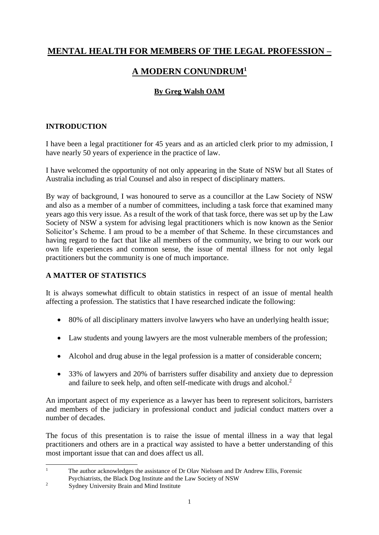# **MENTAL HEALTH FOR MEMBERS OF THE LEGAL PROFESSION –**

# **A MODERN CONUNDRUM<sup>1</sup>**

# **By Greg Walsh OAM**

## **INTRODUCTION**

I have been a legal practitioner for 45 years and as an articled clerk prior to my admission, I have nearly 50 years of experience in the practice of law.

I have welcomed the opportunity of not only appearing in the State of NSW but all States of Australia including as trial Counsel and also in respect of disciplinary matters.

By way of background, I was honoured to serve as a councillor at the Law Society of NSW and also as a member of a number of committees, including a task force that examined many years ago this very issue. As a result of the work of that task force, there was set up by the Law Society of NSW a system for advising legal practitioners which is now known as the Senior Solicitor's Scheme. I am proud to be a member of that Scheme. In these circumstances and having regard to the fact that like all members of the community, we bring to our work our own life experiences and common sense, the issue of mental illness for not only legal practitioners but the community is one of much importance.

# **A MATTER OF STATISTICS**

It is always somewhat difficult to obtain statistics in respect of an issue of mental health affecting a profession. The statistics that I have researched indicate the following:

- 80% of all disciplinary matters involve lawyers who have an underlying health issue;
- Law students and young lawyers are the most vulnerable members of the profession;
- Alcohol and drug abuse in the legal profession is a matter of considerable concern;
- 33% of lawyers and 20% of barristers suffer disability and anxiety due to depression and failure to seek help, and often self-medicate with drugs and alcohol.<sup>2</sup>

An important aspect of my experience as a lawyer has been to represent solicitors, barristers and members of the judiciary in professional conduct and judicial conduct matters over a number of decades.

The focus of this presentation is to raise the issue of mental illness in a way that legal practitioners and others are in a practical way assisted to have a better understanding of this most important issue that can and does affect us all.

<sup>&</sup>lt;sup>1</sup> The author acknowledges the assistance of Dr Olav Nielssen and Dr Andrew Ellis, Forensic

Psychiatrists, the Black Dog Institute and the Law Society of NSW

<sup>&</sup>lt;sup>2</sup> Sydney University Brain and Mind Institute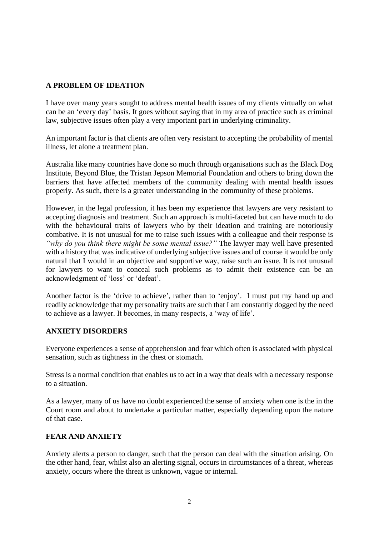### **A PROBLEM OF IDEATION**

I have over many years sought to address mental health issues of my clients virtually on what can be an 'every day' basis. It goes without saying that in my area of practice such as criminal law, subjective issues often play a very important part in underlying criminality.

An important factor is that clients are often very resistant to accepting the probability of mental illness, let alone a treatment plan.

Australia like many countries have done so much through organisations such as the Black Dog Institute, Beyond Blue, the Tristan Jepson Memorial Foundation and others to bring down the barriers that have affected members of the community dealing with mental health issues properly. As such, there is a greater understanding in the community of these problems.

However, in the legal profession, it has been my experience that lawyers are very resistant to accepting diagnosis and treatment. Such an approach is multi-faceted but can have much to do with the behavioural traits of lawyers who by their ideation and training are notoriously combative. It is not unusual for me to raise such issues with a colleague and their response is *"why do you think there might be some mental issue?"* The lawyer may well have presented with a history that was indicative of underlying subjective issues and of course it would be only natural that I would in an objective and supportive way, raise such an issue. It is not unusual for lawyers to want to conceal such problems as to admit their existence can be an acknowledgment of 'loss' or 'defeat'.

Another factor is the 'drive to achieve', rather than to 'enjoy'. I must put my hand up and readily acknowledge that my personality traits are such that I am constantly dogged by the need to achieve as a lawyer. It becomes, in many respects, a 'way of life'.

#### **ANXIETY DISORDERS**

Everyone experiences a sense of apprehension and fear which often is associated with physical sensation, such as tightness in the chest or stomach.

Stress is a normal condition that enables us to act in a way that deals with a necessary response to a situation.

As a lawyer, many of us have no doubt experienced the sense of anxiety when one is the in the Court room and about to undertake a particular matter, especially depending upon the nature of that case.

#### **FEAR AND ANXIETY**

Anxiety alerts a person to danger, such that the person can deal with the situation arising. On the other hand, fear, whilst also an alerting signal, occurs in circumstances of a threat, whereas anxiety, occurs where the threat is unknown, vague or internal.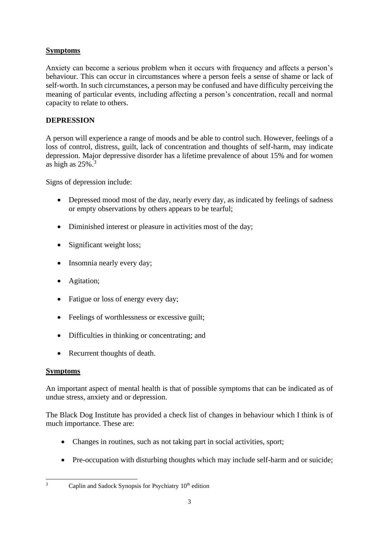## **Symptoms**

Anxiety can become a serious problem when it occurs with frequency and affects a person's behaviour. This can occur in circumstances where a person feels a sense of shame or lack of self-worth. In such circumstances, a person may be confused and have difficulty perceiving the meaning of particular events, including affecting a person's concentration, recall and normal capacity to relate to others.

### **DEPRESSION**

A person will experience a range of moods and be able to control such. However, feelings of a loss of control, distress, guilt, lack of concentration and thoughts of self-harm, may indicate depression. Major depressive disorder has a lifetime prevalence of about 15% and for women as high as  $25\%$ .<sup>3</sup>

Signs of depression include:

- Depressed mood most of the day, nearly every day, as indicated by feelings of sadness or empty observations by others appears to be tearful;
- Diminished interest or pleasure in activities most of the day:
- Significant weight loss;
- Insomnia nearly every day;
- Agitation;
- Fatigue or loss of energy every day;
- Feelings of worthlessness or excessive guilt;
- Difficulties in thinking or concentrating; and
- Recurrent thoughts of death.

#### **Symptoms**

An important aspect of mental health is that of possible symptoms that can be indicated as of undue stress, anxiety and or depression.

The Black Dog Institute has provided a check list of changes in behaviour which I think is of much importance. These are:

- Changes in routines, such as not taking part in social activities, sport;
- Pre-occupation with disturbing thoughts which may include self-harm and or suicide;

 $3$  Caplin and Sadock Synopsis for Psychiatry  $10<sup>th</sup>$  edition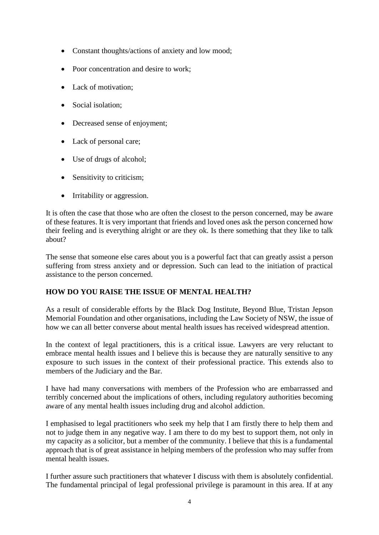- Constant thoughts/actions of anxiety and low mood;
- Poor concentration and desire to work;
- Lack of motivation;
- Social isolation:
- Decreased sense of enjoyment;
- Lack of personal care;
- Use of drugs of alcohol;
- Sensitivity to criticism;
- Irritability or aggression.

It is often the case that those who are often the closest to the person concerned, may be aware of these features. It is very important that friends and loved ones ask the person concerned how their feeling and is everything alright or are they ok. Is there something that they like to talk about?

The sense that someone else cares about you is a powerful fact that can greatly assist a person suffering from stress anxiety and or depression. Such can lead to the initiation of practical assistance to the person concerned.

#### **HOW DO YOU RAISE THE ISSUE OF MENTAL HEALTH?**

As a result of considerable efforts by the Black Dog Institute, Beyond Blue, Tristan Jepson Memorial Foundation and other organisations, including the Law Society of NSW, the issue of how we can all better converse about mental health issues has received widespread attention.

In the context of legal practitioners, this is a critical issue. Lawyers are very reluctant to embrace mental health issues and I believe this is because they are naturally sensitive to any exposure to such issues in the context of their professional practice. This extends also to members of the Judiciary and the Bar.

I have had many conversations with members of the Profession who are embarrassed and terribly concerned about the implications of others, including regulatory authorities becoming aware of any mental health issues including drug and alcohol addiction.

I emphasised to legal practitioners who seek my help that I am firstly there to help them and not to judge them in any negative way. I am there to do my best to support them, not only in my capacity as a solicitor, but a member of the community. I believe that this is a fundamental approach that is of great assistance in helping members of the profession who may suffer from mental health issues.

I further assure such practitioners that whatever I discuss with them is absolutely confidential. The fundamental principal of legal professional privilege is paramount in this area. If at any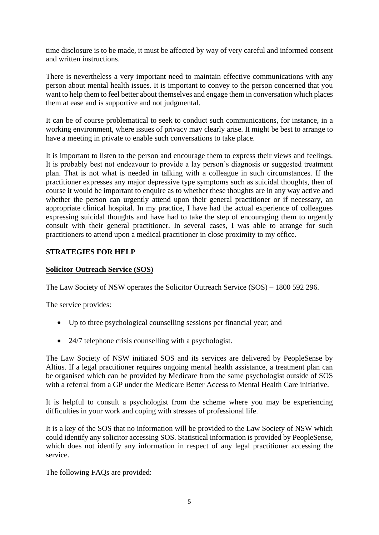time disclosure is to be made, it must be affected by way of very careful and informed consent and written instructions.

There is nevertheless a very important need to maintain effective communications with any person about mental health issues. It is important to convey to the person concerned that you want to help them to feel better about themselves and engage them in conversation which places them at ease and is supportive and not judgmental.

It can be of course problematical to seek to conduct such communications, for instance, in a working environment, where issues of privacy may clearly arise. It might be best to arrange to have a meeting in private to enable such conversations to take place.

It is important to listen to the person and encourage them to express their views and feelings. It is probably best not endeavour to provide a lay person's diagnosis or suggested treatment plan. That is not what is needed in talking with a colleague in such circumstances. If the practitioner expresses any major depressive type symptoms such as suicidal thoughts, then of course it would be important to enquire as to whether these thoughts are in any way active and whether the person can urgently attend upon their general practitioner or if necessary, an appropriate clinical hospital. In my practice, I have had the actual experience of colleagues expressing suicidal thoughts and have had to take the step of encouraging them to urgently consult with their general practitioner. In several cases, I was able to arrange for such practitioners to attend upon a medical practitioner in close proximity to my office.

#### **STRATEGIES FOR HELP**

#### **Solicitor Outreach Service (SOS)**

The Law Society of NSW operates the Solicitor Outreach Service (SOS) – 1800 592 296.

The service provides:

- Up to three psychological counselling sessions per financial year; and
- 24/7 telephone crisis counselling with a psychologist.

The Law Society of NSW initiated SOS and its services are delivered by PeopleSense by Altius. If a legal practitioner requires ongoing mental health assistance, a treatment plan can be organised which can be provided by Medicare from the same psychologist outside of SOS with a referral from a GP under the Medicare Better Access to Mental Health Care initiative.

It is helpful to consult a psychologist from the scheme where you may be experiencing difficulties in your work and coping with stresses of professional life.

It is a key of the SOS that no information will be provided to the Law Society of NSW which could identify any solicitor accessing SOS. Statistical information is provided by PeopleSense, which does not identify any information in respect of any legal practitioner accessing the service.

The following FAQs are provided: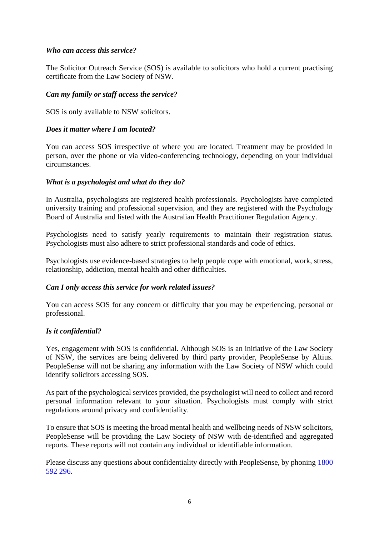#### *Who can access this service?*

The Solicitor Outreach Service (SOS) is available to solicitors who hold a current practising certificate from the Law Society of NSW.

#### *Can my family or staff access the service?*

SOS is only available to NSW solicitors.

#### *Does it matter where I am located?*

You can access SOS irrespective of where you are located. Treatment may be provided in person, over the phone or via video-conferencing technology, depending on your individual circumstances.

#### *What is a psychologist and what do they do?*

In Australia, psychologists are registered health professionals. Psychologists have completed university training and professional supervision, and they are registered with the Psychology Board of Australia and listed with the Australian Health Practitioner Regulation Agency.

Psychologists need to satisfy yearly requirements to maintain their registration status. Psychologists must also adhere to strict professional standards and code of ethics.

Psychologists use evidence-based strategies to help people cope with emotional, work, stress, relationship, addiction, mental health and other difficulties.

#### *Can I only access this service for work related issues?*

You can access SOS for any concern or difficulty that you may be experiencing, personal or professional.

#### *Is it confidential?*

Yes, engagement with SOS is confidential. Although SOS is an initiative of the Law Society of NSW, the services are being delivered by third party provider, PeopleSense by Altius. PeopleSense will not be sharing any information with the Law Society of NSW which could identify solicitors accessing SOS.

As part of the psychological services provided, the psychologist will need to collect and record personal information relevant to your situation. Psychologists must comply with strict regulations around privacy and confidentiality.

To ensure that SOS is meeting the broad mental health and wellbeing needs of NSW solicitors, PeopleSense will be providing the Law Society of NSW with de-identified and aggregated reports. These reports will not contain any individual or identifiable information.

Please discuss any questions about confidentiality directly with PeopleSense, by phoning [1800](tel:1800592296)  [592 296.](tel:1800592296)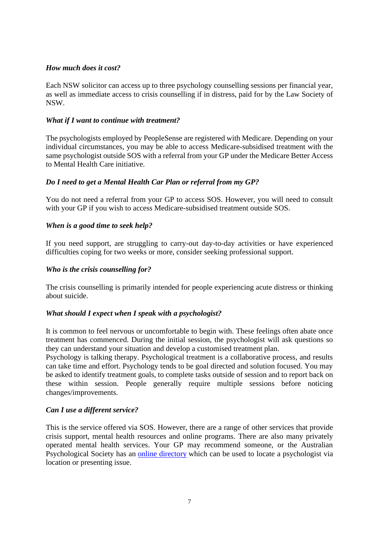#### *How much does it cost?*

Each NSW solicitor can access up to three psychology counselling sessions per financial year, as well as immediate access to crisis counselling if in distress, paid for by the Law Society of NSW.

#### *What if I want to continue with treatment?*

The psychologists employed by PeopleSense are registered with Medicare. Depending on your individual circumstances, you may be able to access Medicare-subsidised treatment with the same psychologist outside SOS with a referral from your GP under the Medicare Better Access to Mental Health Care initiative.

#### *Do I need to get a Mental Health Car Plan or referral from my GP?*

You do not need a referral from your GP to access SOS. However, you will need to consult with your GP if you wish to access Medicare-subsidised treatment outside SOS.

#### *When is a good time to seek help?*

If you need support, are struggling to carry-out day-to-day activities or have experienced difficulties coping for two weeks or more, consider seeking professional support.

#### *Who is the crisis counselling for?*

The crisis counselling is primarily intended for people experiencing acute distress or thinking about suicide.

#### *What should I expect when I speak with a psychologist?*

It is common to feel nervous or uncomfortable to begin with. These feelings often abate once treatment has commenced. During the initial session, the psychologist will ask questions so they can understand your situation and develop a customised treatment plan.

Psychology is talking therapy. Psychological treatment is a collaborative process, and results can take time and effort. Psychology tends to be goal directed and solution focused. You may be asked to identify treatment goals, to complete tasks outside of session and to report back on these within session. People generally require multiple sessions before noticing changes/improvements.

#### *Can I use a different service?*

This is the service offered via SOS. However, there are a range of other services that provide crisis support, mental health resources and online programs. There are also many privately operated mental health services. Your GP may recommend someone, or the Australian Psychological Society has an [online directory](https://www.psychology.org.au/Find-a-Psychologist) which can be used to locate a psychologist via location or presenting issue.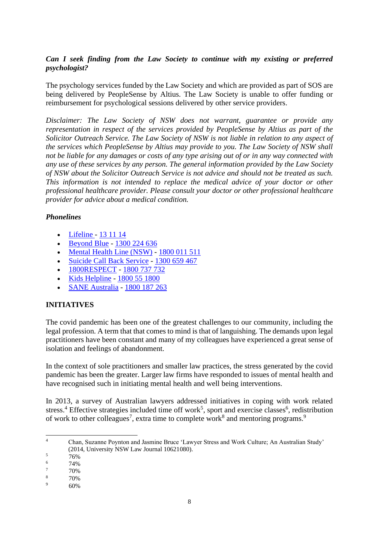### *Can I seek finding from the Law Society to continue with my existing or preferred psychologist?*

The psychology services funded by the Law Society and which are provided as part of SOS are being delivered by PeopleSense by Altius. The Law Society is unable to offer funding or reimbursement for psychological sessions delivered by other service providers.

*Disclaimer: The Law Society of NSW does not warrant, guarantee or provide any representation in respect of the services provided by PeopleSense by Altius as part of the Solicitor Outreach Service. The Law Society of NSW is not liable in relation to any aspect of the services which PeopleSense by Altius may provide to you. The Law Society of NSW shall not be liable for any damages or costs of any type arising out of or in any way connected with any use of these services by any person. The general information provided by the Law Society of NSW about the Solicitor Outreach Service is not advice and should not be treated as such. This information is not intended to replace the medical advice of your doctor or other professional healthcare provider. Please consult your doctor or other professional healthcare provider for advice about a medical condition.*

#### *Phonelines*

- [Lifeline](https://www.lifeline.org.au/) [13 11 14](tel:131114)
- [Beyond Blue](https://www.beyondblue.org.au/) [1300 224 636](tel:1300224636)
- [Mental Health Line \(NSW\)](https://www.health.nsw.gov.au/mentalhealth/Pages/mental-health-line.aspx) [1800 011 511](tel:1800011511)
- [Suicide Call Back Service](https://www.suicidecallbackservice.org.au/) [1300 659 467](tel:1300659467)
- [1800RESPECT](https://www.1800respect.org.au/?gclid=EAIaIQobChMI5tyK1vWO6QIVyhErCh17ug4WEAAYASAAEgJbRfD_BwE) [1800 737 732](tel:1800737732)
- [Kids Helpline](https://kidshelpline.com.au/) [1800 55 1800](tel:1800551800)
- [SANE Australia](https://www.sane.org/) [1800 187 263](tel:1800187263)

# **INITIATIVES**

The covid pandemic has been one of the greatest challenges to our community, including the legal profession. A term that that comes to mind is that of languishing. The demands upon legal practitioners have been constant and many of my colleagues have experienced a great sense of isolation and feelings of abandonment.

In the context of sole practitioners and smaller law practices, the stress generated by the covid pandemic has been the greater. Larger law firms have responded to issues of mental health and have recognised such in initiating mental health and well being interventions.

In 2013, a survey of Australian lawyers addressed initiatives in coping with work related stress.<sup>4</sup> Effective strategies included time off work<sup>5</sup>, sport and exercise classes<sup>6</sup>, redistribution of work to other colleagues<sup>7</sup>, extra time to complete work<sup>8</sup> and mentoring programs.<sup>9</sup>

<sup>4</sup> Chan, Suzanne Poynton and Jasmine Bruce 'Lawyer Stress and Work Culture; An Australian Study' (2014, University NSW Law Journal 10621080).

 $\frac{5}{6}$  76%

 $\frac{6}{7}$  74%

 $\frac{7}{8}$  70%

 $\frac{8}{9}$  70%

<sup>60%</sup>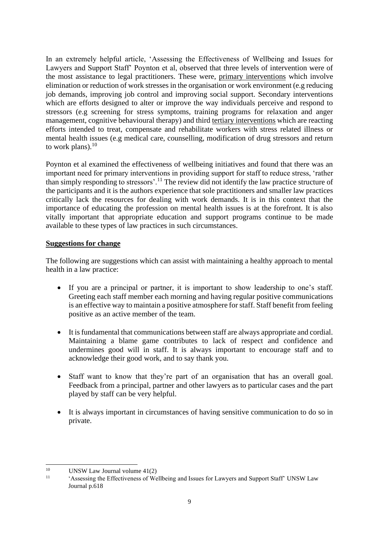In an extremely helpful article, 'Assessing the Effectiveness of Wellbeing and Issues for Lawyers and Support Staff' Poynton et al, observed that three levels of intervention were of the most assistance to legal practitioners. These were, primary interventions which involve elimination or reduction of work stresses in the organisation or work environment (e.g reducing job demands, improving job control and improving social support. Secondary interventions which are efforts designed to alter or improve the way individuals perceive and respond to stressors (e.g screening for stress symptoms, training programs for relaxation and anger management, cognitive behavioural therapy) and third tertiary interventions which are reacting efforts intended to treat, compensate and rehabilitate workers with stress related illness or mental health issues (e.g medical care, counselling, modification of drug stressors and return to work plans). $10$ 

Poynton et al examined the effectiveness of wellbeing initiatives and found that there was an important need for primary interventions in providing support for staff to reduce stress, 'rather than simply responding to stressors'.<sup>11</sup> The review did not identify the law practice structure of the participants and it is the authors experience that sole practitioners and smaller law practices critically lack the resources for dealing with work demands. It is in this context that the importance of educating the profession on mental health issues is at the forefront. It is also vitally important that appropriate education and support programs continue to be made available to these types of law practices in such circumstances.

#### **Suggestions for change**

The following are suggestions which can assist with maintaining a healthy approach to mental health in a law practice:

- If you are a principal or partner, it is important to show leadership to one's staff. Greeting each staff member each morning and having regular positive communications is an effective way to maintain a positive atmosphere for staff. Staff benefit from feeling positive as an active member of the team.
- It is fundamental that communications between staff are always appropriate and cordial. Maintaining a blame game contributes to lack of respect and confidence and undermines good will in staff. It is always important to encourage staff and to acknowledge their good work, and to say thank you.
- Staff want to know that they're part of an organisation that has an overall goal. Feedback from a principal, partner and other lawyers as to particular cases and the part played by staff can be very helpful.
- It is always important in circumstances of having sensitive communication to do so in private.

<sup>&</sup>lt;sup>10</sup> UNSW Law Journal volume 41(2)

<sup>&#</sup>x27;Assessing the Effectiveness of Wellbeing and Issues for Lawyers and Support Staff' UNSW Law Journal p.618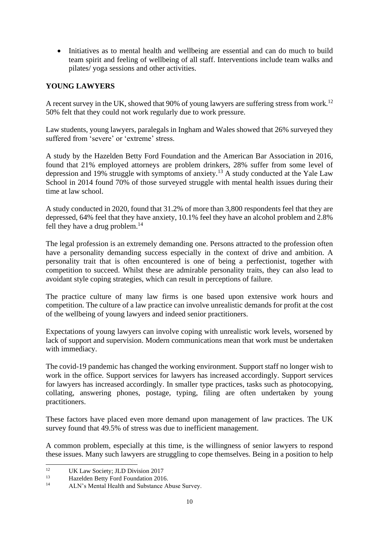• Initiatives as to mental health and wellbeing are essential and can do much to build team spirit and feeling of wellbeing of all staff. Interventions include team walks and pilates/ yoga sessions and other activities.

### **YOUNG LAWYERS**

A recent survey in the UK, showed that 90% of young lawyers are suffering stress from work.<sup>12</sup> 50% felt that they could not work regularly due to work pressure.

Law students, young lawyers, paralegals in Ingham and Wales showed that 26% surveyed they suffered from 'severe' or 'extreme' stress.

A study by the Hazelden Betty Ford Foundation and the American Bar Association in 2016, found that 21% employed attorneys are problem drinkers, 28% suffer from some level of depression and 19% struggle with symptoms of anxiety.<sup>13</sup> A study conducted at the Yale Law School in 2014 found 70% of those surveyed struggle with mental health issues during their time at law school.

A study conducted in 2020, found that 31.2% of more than 3,800 respondents feel that they are depressed, 64% feel that they have anxiety, 10.1% feel they have an alcohol problem and 2.8% fell they have a drug problem. $^{14}$ 

The legal profession is an extremely demanding one. Persons attracted to the profession often have a personality demanding success especially in the context of drive and ambition. A personality trait that is often encountered is one of being a perfectionist, together with competition to succeed. Whilst these are admirable personality traits, they can also lead to avoidant style coping strategies, which can result in perceptions of failure.

The practice culture of many law firms is one based upon extensive work hours and competition. The culture of a law practice can involve unrealistic demands for profit at the cost of the wellbeing of young lawyers and indeed senior practitioners.

Expectations of young lawyers can involve coping with unrealistic work levels, worsened by lack of support and supervision. Modern communications mean that work must be undertaken with immediacy.

The covid-19 pandemic has changed the working environment. Support staff no longer wish to work in the office. Support services for lawyers has increased accordingly. Support services for lawyers has increased accordingly. In smaller type practices, tasks such as photocopying, collating, answering phones, postage, typing, filing are often undertaken by young practitioners.

These factors have placed even more demand upon management of law practices. The UK survey found that 49.5% of stress was due to inefficient management.

A common problem, especially at this time, is the willingness of senior lawyers to respond these issues. Many such lawyers are struggling to cope themselves. Being in a position to help

<sup>&</sup>lt;sup>12</sup> UK Law Society; JLD Division 2017<br><sup>13</sup> Used the Patty Ford Foundation 2014

<sup>&</sup>lt;sup>13</sup> Hazelden Betty Ford Foundation 2016.

ALN's Mental Health and Substance Abuse Survey.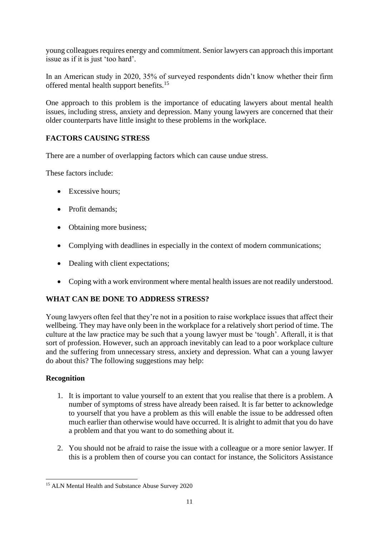young colleagues requires energy and commitment. Senior lawyers can approach this important issue as if it is just 'too hard'.

In an American study in 2020, 35% of surveyed respondents didn't know whether their firm offered mental health support benefits.<sup>15</sup>

One approach to this problem is the importance of educating lawyers about mental health issues, including stress, anxiety and depression. Many young lawyers are concerned that their older counterparts have little insight to these problems in the workplace.

# **FACTORS CAUSING STRESS**

There are a number of overlapping factors which can cause undue stress.

These factors include:

- Excessive hours;
- Profit demands:
- Obtaining more business;
- Complying with deadlines in especially in the context of modern communications;
- Dealing with client expectations:
- Coping with a work environment where mental health issues are not readily understood.

# **WHAT CAN BE DONE TO ADDRESS STRESS?**

Young lawyers often feel that they're not in a position to raise workplace issues that affect their wellbeing. They may have only been in the workplace for a relatively short period of time. The culture at the law practice may be such that a young lawyer must be 'tough'. Afterall, it is that sort of profession. However, such an approach inevitably can lead to a poor workplace culture and the suffering from unnecessary stress, anxiety and depression. What can a young lawyer do about this? The following suggestions may help:

#### **Recognition**

- 1. It is important to value yourself to an extent that you realise that there is a problem. A number of symptoms of stress have already been raised. It is far better to acknowledge to yourself that you have a problem as this will enable the issue to be addressed often much earlier than otherwise would have occurred. It is alright to admit that you do have a problem and that you want to do something about it.
- 2. You should not be afraid to raise the issue with a colleague or a more senior lawyer. If this is a problem then of course you can contact for instance, the Solicitors Assistance

<sup>15</sup> ALN Mental Health and Substance Abuse Survey 2020